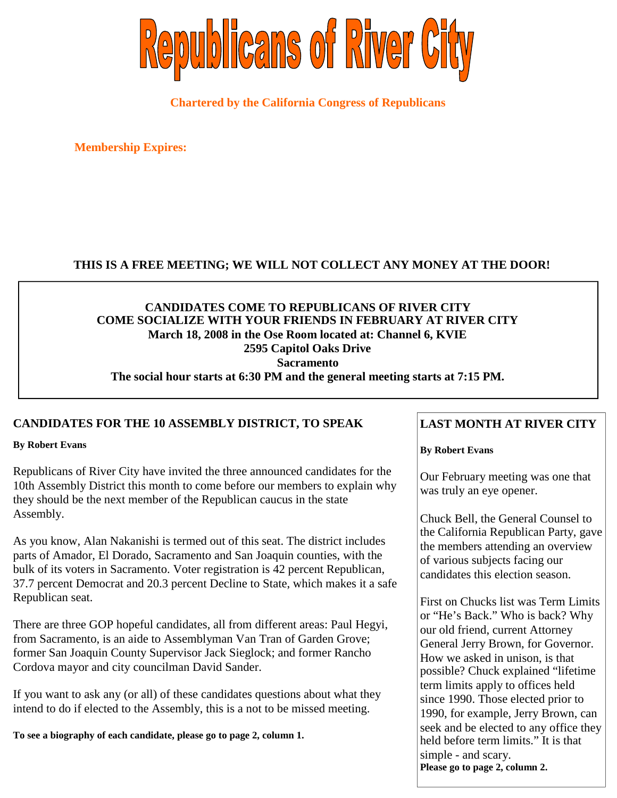

## **Chartered by the California Congress of Republicans**

**Membership Expires:**

## **THIS IS A FREE MEETING; WE WILL NOT COLLECT ANY MONEY AT THE DOOR!**

## **CANDIDATES COME TO REPUBLICANS OF RIVER CITY COME SOCIALIZE WITH YOUR FRIENDS IN FEBRUARY AT RIVER CITY March 18, 2008 in the Ose Room located at: Channel 6, KVIE 2595 Capitol Oaks Drive Sacramento The social hour starts at 6:30 PM and the general meeting starts at 7:15 PM.**

## **CANDIDATES FOR THE 10 ASSEMBLY DISTRICT, TO SPEAK**

**By Robert Evans**

Republicans of River City have invited the three announced candidates for the 10th Assembly District this month to come before our members to explain why they should be the next member of the Republican caucus in the state Assembly.

As you know, Alan Nakanishi is termed out of this seat. The district includes parts of Amador, El Dorado, Sacramento and San Joaquin counties, with the bulk of its voters in Sacramento. Voter registration is 42 percent Republican, 37.7 percent Democrat and 20.3 percent Decline to State, which makes it a safe Republican seat.

There are three GOP hopeful candidates, all from different areas: Paul Hegyi, from Sacramento, is an aide to Assemblyman Van Tran of Garden Grove; former San Joaquin County Supervisor Jack Sieglock; and former Rancho Cordova mayor and city councilman David Sander.

If you want to ask any (or all) of these candidates questions about what they intend to do if elected to the Assembly, this is a not to be missed meeting.

**To see a biography of each candidate, please go to page 2, column 1.**

# **LAST MONTH AT RIVER CITY**

#### **By Robert Evans**

Our February meeting was one that was truly an eye opener.

Chuck Bell, the General Counsel to the California Republican Party, gave the members attending an overview of various subjects facing our candidates this election season.

First on Chucks list was Term Limits or "He's Back." Who is back? Why our old friend, current Attorney General Jerry Brown, for Governor. How we asked in unison, is that possible? Chuck explained "lifetime term limits apply to offices held since 1990. Those elected prior to 1990, for example, Jerry Brown, can seek and be elected to any office they held before term limits." It is that simple - and scary. **Please go to page 2, column 2.**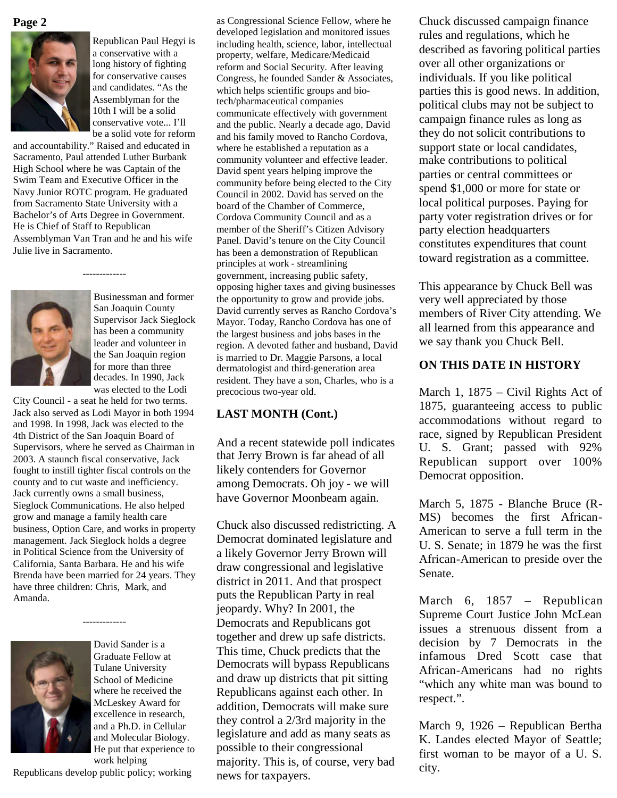

Republican Paul Hegyi is a conservative with a long history of fighting for conservative causes and candidates. "As the Assemblyman for the 10th I will be a solid conservative vote... I'll be a solid vote for reform

and accountability." Raised and educated in Sacramento, Paul attended Luther Burbank High School where he was Captain of the Swim Team and Executive Officer in the Navy Junior ROTC program. He graduated from Sacramento State University with a Bachelor's of Arts Degree in Government. He is Chief of Staff to Republican Assemblyman Van Tran and he and his wife Julie live in Sacramento.

-------------



Businessman and former San Joaquin County Supervisor Jack Sieglock has been a community leader and volunteer in the San Joaquin region for more than three decades. In 1990, Jack was elected to the Lodi

City Council - a seat he held for two terms. Jack also served as Lodi Mayor in both 1994 and 1998. In 1998, Jack was elected to the 4th District of the San Joaquin Board of Supervisors, where he served as Chairman in 2003. A staunch fiscal conservative, Jack fought to instill tighter fiscal controls on the county and to cut waste and inefficiency. Jack currently owns a small business, Sieglock Communications. He also helped grow and manage a family health care business, Option Care, and works in property management. Jack Sieglock holds a degree in Political Science from the University of California, Santa Barbara. He and his wife Brenda have been married for 24 years. They have three children: Chris, Mark, and Amanda.

-------------



David Sander is a Graduate Fellow at Tulane University School of Medicine where he received the McLeskey Award for excellence in research, and a Ph.D. in Cellular and Molecular Biology. He put that experience to work helping

**Page 2** as Congressional Science Fellow, where he Chuck discussed campaign finance as Congressional Science Fellow, where he developed legislation and monitored issues including health, science, labor, intellectual property, welfare, Medicare/Medicaid reform and Social Security. After leaving Congress, he founded Sander & Associates, which helps scientific groups and biotech/pharmaceutical companies communicate effectively with government and the public. Nearly a decade ago, David and his family moved to Rancho Cordova, where he established a reputation as a community volunteer and effective leader. David spent years helping improve the community before being elected to the City Council in 2002. David has served on the board of the Chamber of Commerce, Cordova Community Council and as a member of the Sheriff's Citizen Advisory Panel. David's tenure on the City Council has been a demonstration of Republican principles at work - streamlining government, increasing public safety, opposing higher taxes and giving businesses the opportunity to grow and provide jobs. David currently serves as Rancho Cordova's Mayor. Today, Rancho Cordova has one of the largest business and jobs bases in the region. A devoted father and husband, David is married to Dr. Maggie Parsons, a local dermatologist and third-generation area resident. They have a son, Charles, who is a precocious two-year old.

#### **LAST MONTH (Cont.)**

And a recent statewide poll indicates that Jerry Brown is far ahead of all likely contenders for Governor among Democrats. Oh joy - we will have Governor Moonbeam again.

Chuck also discussed redistricting. A Democrat dominated legislature and a likely Governor Jerry Brown will draw congressional and legislative district in 2011. And that prospect puts the Republican Party in real jeopardy. Why? In 2001, the Democrats and Republicans got together and drew up safe districts. This time, Chuck predicts that the Democrats will bypass Republicans and draw up districts that pit sitting Republicans against each other. In addition, Democrats will make sure they control a 2/3rd majority in the legislature and add as many seats as possible to their congressional majority. This is, of course, very bad news for taxpayers.

rules and regulations, which he described as favoring political parties over all other organizations or individuals. If you like political parties this is good news. In addition, political clubs may not be subject to campaign finance rules as long as they do not solicit contributions to support state or local candidates, make contributions to political parties or central committees or spend \$1,000 or more for state or local political purposes. Paying for party voter registration drives or for party election headquarters constitutes expenditures that count toward registration as a committee.

This appearance by Chuck Bell was very well appreciated by those members of River City attending. We all learned from this appearance and we say thank you Chuck Bell.

### **ON THIS DATE IN HISTORY**

March 1, 1875 – Civil Rights Act of 1875, guaranteeing access to public accommodations without regard to race, signed by Republican President U. S. Grant; passed with 92% Republican support over 100% Democrat opposition.

March 5, 1875 - Blanche Bruce (R-MS) becomes the first African-American to serve a full term in the U. S. Senate; in 1879 he was the first African-American to preside over the Senate.

March 6, 1857 – Republican Supreme Court Justice John McLean issues a strenuous dissent from a decision by 7 Democrats in the infamous Dred Scott case that African-Americans had no rights "which any white man was bound to respect.".

March 9, 1926 – Republican Bertha K. Landes elected Mayor of Seattle; first woman to be mayor of a U. S. city.

Republicans develop public policy; working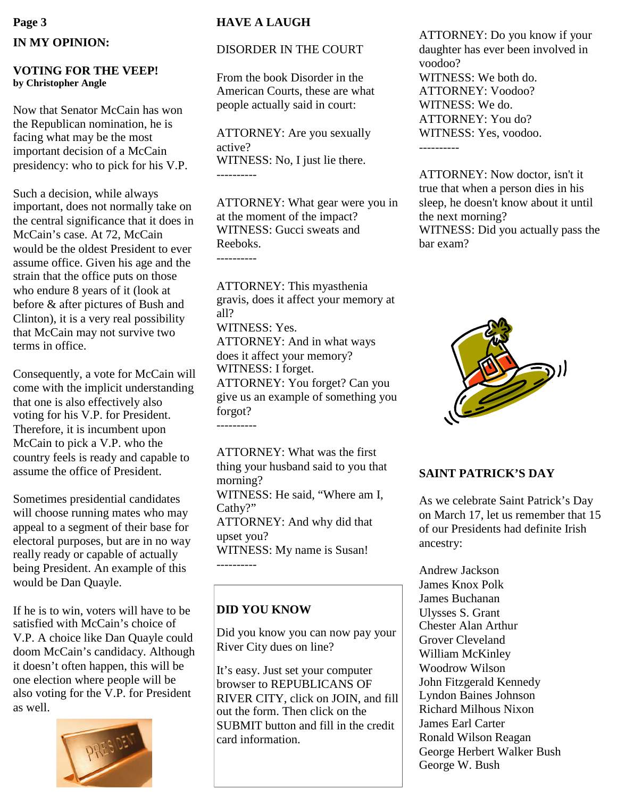# **Page 3 IN MY OPINION:**

#### **VOTING FOR THE VEEP! by Christopher Angle**

Now that Senator McCain has won the Republican nomination, he is facing what may be the most important decision of a McCain presidency: who to pick for his V.P.

Such a decision, while always important, does not normally take on the central significance that it does in McCain's case. At 72, McCain would be the oldest President to ever assume office. Given his age and the strain that the office puts on those who endure 8 years of it (look at before & after pictures of Bush and Clinton), it is a very real possibility that McCain may not survive two terms in office.

Consequently, a vote for McCain will come with the implicit understanding that one is also effectively also voting for his V.P. for President. Therefore, it is incumbent upon McCain to pick a V.P. who the country feels is ready and capable to assume the office of President.

Sometimes presidential candidates will choose running mates who may appeal to a segment of their base for electoral purposes, but are in no way really ready or capable of actually being President. An example of this would be Dan Quayle.

If he is to win, voters will have to be satisfied with McCain's choice of V.P. A choice like Dan Quayle could doom McCain's candidacy. Although it doesn't often happen, this will be one election where people will be also voting for the V.P. for President as well.



# **HAVE A LAUGH**

----------

## DISORDER IN THE COURT

From the book Disorder in the American Courts, these are what people actually said in court:

ATTORNEY: Are you sexually active? WITNESS: No, I just lie there. ----------

ATTORNEY: What gear were you in at the moment of the impact? WITNESS: Gucci sweats and Reeboks.

ATTORNEY: This myasthenia gravis, does it affect your memory at all? WITNESS: Yes. ATTORNEY: And in what ways does it affect your memory? WITNESS: I forget. ATTORNEY: You forget? Can you give us an example of something you forgot?

ATTORNEY: What was the first thing your husband said to you that morning? WITNESS: He said, "Where am I, Cathy?" ATTORNEY: And why did that upset you? WITNESS: My name is Susan! ----------

# **DID YOU KNOW**

Did you know you can now pay your River City dues on line?

It's easy. Just set your computer browser to REPUBLICANS OF RIVER CITY, click on JOIN, and fill out the form. Then click on the SUBMIT button and fill in the credit card information.

ATTORNEY: Do you know if your daughter has ever been involved in voodoo? WITNESS: We both do. ATTORNEY: Voodoo? WITNESS: We do. ATTORNEY: You do? WITNESS: Yes, voodoo. ----------

ATTORNEY: Now doctor, isn't it true that when a person dies in his sleep, he doesn't know about it until the next morning? WITNESS: Did you actually pass the bar exam?



## **SAINT PATRICK'S DAY**

As we celebrate Saint Patrick's Day on March 17, let us remember that 15 of our Presidents had definite Irish ancestry:

Andrew Jackson James Knox Polk James Buchanan Ulysses S. Grant Chester Alan Arthur Grover Cleveland William McKinley Woodrow Wilson John Fitzgerald Kennedy Lyndon Baines Johnson Richard Milhous Nixon James Earl Carter Ronald Wilson Reagan George Herbert Walker Bush George W. Bush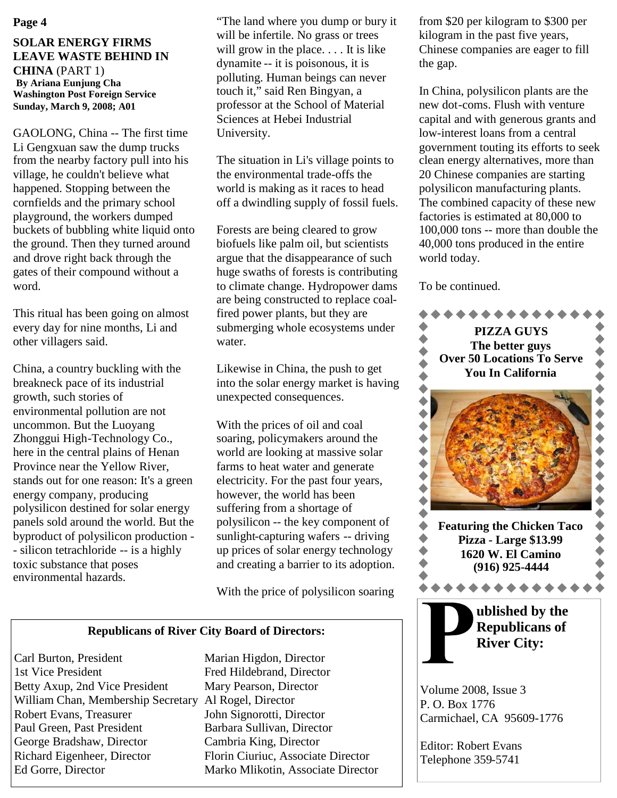#### **Page 4**

### **SOLAR ENERGY FIRMS LEAVE WASTE BEHIND IN CHINA** (PART 1) **By Ariana Eunjung Cha Washington Post Foreign Service Sunday, March 9, 2008; A01**

GAOLONG, China -- The first time Li Gengxuan saw the dump trucks from the nearby factory pull into his village, he couldn't believe what happened. Stopping between the cornfields and the primary school playground, the workers dumped buckets of bubbling white liquid onto the ground. Then they turned around and drove right back through the gates of their compound without a word.

This ritual has been going on almost every day for nine months, Li and other villagers said.

China, a country buckling with the breakneck pace of its industrial growth, such stories of environmental pollution are not uncommon. But the Luoyang Zhonggui High-Technology Co., here in the central plains of Henan Province near the Yellow River, stands out for one reason: It's a green energy company, producing polysilicon destined for solar energy panels sold around the world. But the byproduct of polysilicon production - - silicon tetrachloride -- is a highly toxic substance that poses environmental hazards.

"The land where you dump or bury it will be infertile. No grass or trees will grow in the place. . . . It is like dynamite -- it is poisonous, it is polluting. Human beings can never touch it," said Ren Bingyan, a professor at the School of Material Sciences at Hebei Industrial University.

The situation in Li's village points to the environmental trade-offs the world is making as it races to head off a dwindling supply of fossil fuels.

Forests are being cleared to grow biofuels like palm oil, but scientists argue that the disappearance of such huge swaths of forests is contributing to climate change. Hydropower dams are being constructed to replace coalfired power plants, but they are submerging whole ecosystems under water.

Likewise in China, the push to get into the solar energy market is having unexpected consequences.

With the prices of oil and coal soaring, policymakers around the world are looking at massive solar farms to heat water and generate electricity. For the past four years, however, the world has been suffering from a shortage of polysilicon -- the key component of sunlight-capturing wafers -- driving up prices of solar energy technology and creating a barrier to its adoption.

With the price of polysilicon soaring

### **Republicans of River City Board of Directors:**

Carl Burton, President Marian Higdon, Director 1st Vice President Fred Hildebrand, Director Betty Axup, 2nd Vice President Mary Pearson, Director William Chan, Membership Secretary Al Rogel, Director Robert Evans, Treasurer John Signorotti, Director Paul Green, Past President Barbara Sullivan, Director George Bradshaw, Director Cambria King, Director Richard Eigenheer, Director Florin Ciuriuc, Associate Director Ed Gorre, Director Marko Mlikotin, Associate Director

from \$20 per kilogram to \$300 per kilogram in the past five years, Chinese companies are eager to fill the gap.

In China, polysilicon plants are the new dot-coms. Flush with venture capital and with generous grants and low-interest loans from a central government touting its efforts to seek clean energy alternatives, more than 20 Chinese companies are starting polysilicon manufacturing plants. The combined capacity of these new factories is estimated at 80,000 to 100,000 tons -- more than double the 40,000 tons produced in the entire world today.

To be continued.



P. O. Box 1776 Carmichael, CA 95609-1776

Editor: Robert Evans Telephone 359-5741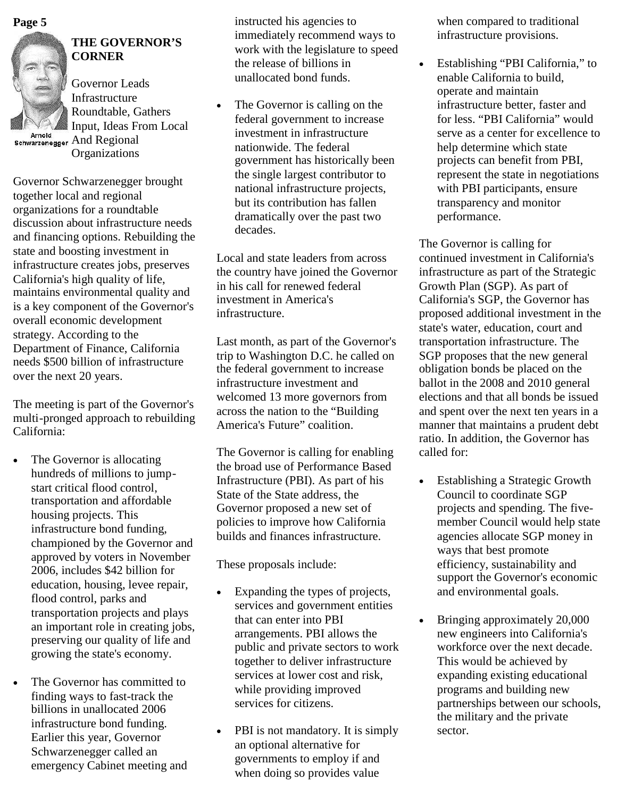

# **THE GOVERNOR'S CORNER**

Governor Leads Infrastructure Roundtable, Gathers Input, Ideas From Local **Annois**<br>Schwarzenegger And Regional **Organizations** 

Governor Schwarzenegger brought together local and regional organizations for a roundtable discussion about infrastructure needs and financing options. Rebuilding the state and boosting investment in infrastructure creates jobs, preserves California's high quality of life, maintains environmental quality and is a key component of the Governor's overall economic development strategy. According to the Department of Finance, California needs \$500 billion of infrastructure over the next 20 years.

The meeting is part of the Governor's multi-pronged approach to rebuilding California:

- The Governor is allocating hundreds of millions to jumpstart critical flood control, transportation and affordable housing projects. This infrastructure bond funding, championed by the Governor and approved by voters in November 2006, includes \$42 billion for education, housing, levee repair, flood control, parks and transportation projects and plays an important role in creating jobs, preserving our quality of life and growing the state's economy.
- The Governor has committed to finding ways to fast-track the billions in unallocated 2006 infrastructure bond funding. Earlier this year, Governor Schwarzenegger called an emergency Cabinet meeting and

instructed his agencies to immediately recommend ways to work with the legislature to speed the release of billions in unallocated bond funds. **Page 5** instructed his agencies to when compared to traditional

> The Governor is calling on the federal government to increase investment in infrastructure nationwide. The federal government has historically been the single largest contributor to national infrastructure projects, but its contribution has fallen dramatically over the past two decades.

Local and state leaders from across the country have joined the Governor in his call for renewed federal investment in America's infrastructure.

Last month, as part of the Governor's trip to Washington D.C. he called on the federal government to increase infrastructure investment and welcomed 13 more governors from across the nation to the "Building America's Future" coalition.

The Governor is calling for enabling the broad use of Performance Based Infrastructure (PBI). As part of his State of the State address, the Governor proposed a new set of policies to improve how California builds and finances infrastructure.

These proposals include:

- Expanding the types of projects, services and government entities that can enter into PBI arrangements. PBI allows the public and private sectors to work together to deliver infrastructure services at lower cost and risk, while providing improved services for citizens.
- PBI is not mandatory. It is simply an optional alternative for governments to employ if and when doing so provides value

infrastructure provisions.

 Establishing "PBI California," to enable California to build, operate and maintain infrastructure better, faster and for less. "PBI California" would serve as a center for excellence to help determine which state projects can benefit from PBI, represent the state in negotiations with PBI participants, ensure transparency and monitor performance.

The Governor is calling for continued investment in California's infrastructure as part of the Strategic Growth Plan (SGP). As part of California's SGP, the Governor has proposed additional investment in the state's water, education, court and transportation infrastructure. The SGP proposes that the new general obligation bonds be placed on the ballot in the 2008 and 2010 general elections and that all bonds be issued and spent over the next ten years in a manner that maintains a prudent debt ratio. In addition, the Governor has called for:

- Establishing a Strategic Growth Council to coordinate SGP projects and spending. The fivemember Council would help state agencies allocate SGP money in ways that best promote efficiency, sustainability and support the Governor's economic and environmental goals.
- Bringing approximately 20,000 new engineers into California's workforce over the next decade. This would be achieved by expanding existing educational programs and building new partnerships between our schools, the military and the private sector.